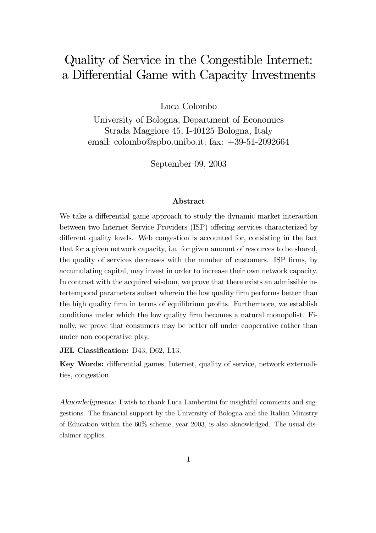# quality of Service in the Congestion Internet:  $\mathcal{L} = \mathcal{L} = \mathcal{L} = \mathcal{L}$

Luca Colombo

University of Bologna, Department of Economics Strada Maggiore 45, I-40125 Bologna, Italy email: colombo@spbo.unibo.it; fax: +39-51-2092664

September 09, 2003

#### Abstract

We take a differential game approach to study the dynamic market interaction between two Internet Service Providers (ISP) offering services characterized by different quality levels. Web congestion is accounted for, consisting in the fact that for a given network capacity, i.e. for given amount of resources to be shared, the quality of services decreases with the number of customers. ISP firms, by accumulating capital, may invest in order to increase their own network capacity. In contrast with the acquired wisdom, we prove that there exists an admissible intertemporal parameters subset wherein the low quality firm performs better than the high quality firm in terms of equilibrium profits. Furthermore, we establish conditions under which the low quality firm becomes a natural monopolist. Finally, we prove that consumers may be better off under cooperative rather than under non cooperative play.

JEL Classification: D43, D62, L13.

Key Words: differential games, Internet, quality of service, network externalities, congestion.

Aknowledgments: I wish to thank Luca Lambertini for insightful comments and suggestions. The financial support by the University of Bologna and the Italian Ministry of Education within the 60% scheme, year 2003, is also aknowledged. The usual disclaimer applies.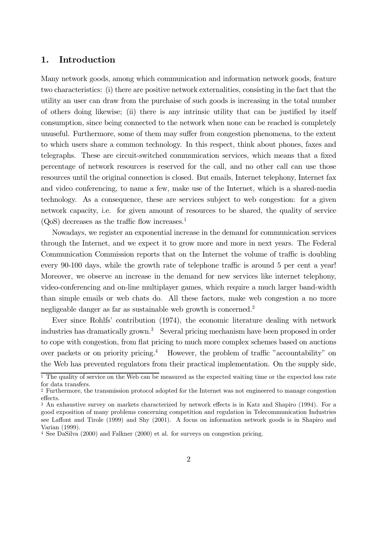## 1. Introduction

Many network goods, among which communication and information network goods, feature two characteristics: (i) there are positive network externalities, consisting in the fact that the utility an user can draw from the purchaise of such goods is increasing in the total number of others doing likewise; (ii) there is any intrinsic utility that can be justified by itself consumption, since being connected to the network when none can be reached is completely unuseful. Furthermore, some of them may suffer from congestion phenomena, to the extent to which users share a common technology. In this respect, think about phones, faxes and telegraphs. These are circuit-switched communication services, which means that a fixed percentage of network resources is reserved for the call, and no other call can use those resources until the original connection is closed. But emails, Internet telephony, Internet fax and video conferencing, to name a few, make use of the Internet, which is a shared-media technology. As a consequence, these are services subject to web congestion: for a given network capacity, i.e. for given amount of resources to be shared, the quality of service  $(QoS)$  decreases as the traffic flow increases.<sup>1</sup>

Nowadays, we register an exponential increase in the demand for communication services through the Internet, and we expect it to grow more and more in next years. The Federal Communication Commission reports that on the Internet the volume of traffic is doubling every 90-100 days, while the growth rate of telephone traffic is around 5 per cent a year! Moreover, we observe an increase in the demand for new services like internet telephony, video-conferencing and on-line multiplayer games, which require a much larger band-width than simple emails or web chats do. All these factors, make web congestion a no more negligeable danger as far as sustainable web growth is concerned.<sup>2</sup>

Ever since Rohlfs' contribution (1974), the economic literature dealing with network industries has dramatically grown.<sup>3</sup> Several pricing mechanism have been proposed in order to cope with congestion, from flat pricing to much more complex schemes based on auctions over packets or on priority pricing.<sup>4</sup> However, the problem of traffic "accountability" on the Web has prevented regulators from their practical implementation. On the supply side,

 $\frac{1}{1}$  The quality of service on the Web can be measured as the expected waiting time or the expected loss rate for data transfers.

<sup>2</sup> Furthermore, the transmission protocol adopted for the Internet was not engineered to manage congestion effects.

<sup>3</sup> An exhaustive survey on markets characterized by network effects is in Katz and Shapiro (1994). For a good exposition of many problems concerning competition and regulation in Telecommunication Industries see Laffont and Tirole (1999) and Shy (2001). A focus on information network goods is in Shapiro and Varian (1999).

<sup>4</sup> See DaSilva (2000) and Falkner (2000) et al. for surveys on congestion pricing.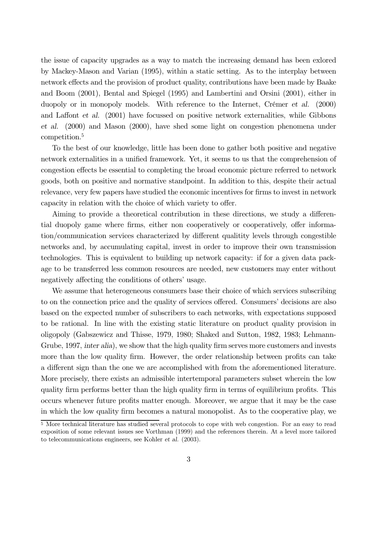the issue of capacity upgrades as a way to match the increasing demand has been exlored by Mackey-Mason and Varian (1995), within a static setting. As to the interplay between network effects and the provision of product quality, contributions have been made by Baake and Boom (2001), Bental and Spiegel (1995) and Lambertini and Orsini (2001), either in duopoly or in monopoly models. With reference to the Internet, Crémer et al. (2000) and Laffont et al. (2001) have focussed on positive network externalities, while Gibbons et al. (2000) and Mason (2000), have shed some light on congestion phenomena under competition.<sup>5</sup>

To the best of our knowledge, little has been done to gather both positive and negative network externalities in a unified framework. Yet, it seems to us that the comprehension of congestion effects be essential to completing the broad economic picture referred to network goods, both on positive and normative standpoint. In addition to this, despite their actual relevance, very few papers have studied the economic incentives for firms to invest in network capacity in relation with the choice of which variety to offer.

Aiming to provide a theoretical contribution in these directions, we study a differential duopoly game where firms, either non cooperatively or cooperatively, offer information/communication services characterized by different qualitity levels through congestible networks and, by accumulating capital, invest in order to improve their own transmission technologies. This is equivalent to building up network capacity: if for a given data package to be transferred less common resources are needed, new customers may enter without negatively affecting the conditions of others' usage.

We assume that heterogeneous consumers base their choice of which services subscribing to on the connection price and the quality of services offered. Consumers' decisions are also based on the expected number of subscribers to each networks, with expectations supposed to be rational. In line with the existing static literature on product quality provision in oligopoly (Gabszewicz and Thisse, 1979, 1980; Shaked and Sutton, 1982, 1983; Lehmann-Grube, 1997, inter alia), we show that the high quality firm serves more customers and invests more than the low quality firm. However, the order relationship between profits can take a different sign than the one we are accomplished with from the aforementioned literature. More precisely, there exists an admissible intertemporal parameters subset wherein the low quality firm performs better than the high quality firm in terms of equilibrium profits. This occurs whenever future profits matter enough. Moreover, we argue that it may be the case in which the low quality firm becomes a natural monopolist. As to the cooperative play, we

<sup>5</sup> More technical literature has studied several protocols to cope with web congestion. For an easy to read exposition of some relevant issues see Vorthman (1999) and the references therein. At a level more tailored to telecommunications engineers, see Kohler et al. (2003).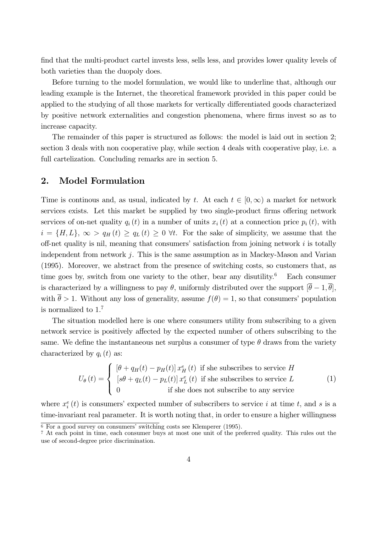find that the multi-product cartel invests less, sells less, and provides lower quality levels of both varieties than the duopoly does.

Before turning to the model formulation, we would like to underline that, although our leading example is the Internet, the theoretical framework provided in this paper could be applied to the studying of all those markets for vertically differentiated goods characterized by positive network externalities and congestion phenomena, where firms invest so as to increase capacity.

The remainder of this paper is structured as follows: the model is laid out in section 2; section 3 deals with non cooperative play, while section 4 deals with cooperative play, i.e. a full cartelization. Concluding remarks are in section 5.

## 2. Model Formulation

Time is continuos and, as usual, indicated by t. At each  $t \in [0,\infty)$  a market for network services exists. Let this market be supplied by two single-product firms offering network services of on-net quality  $q_i(t)$  in a number of units  $x_i(t)$  at a connection price  $p_i(t)$ , with  $i = \{H, L\}, \infty > q_H(t) \ge q_L(t) \ge 0$   $\forall t$ . For the sake of simplicity, we assume that the off-net quality is nil, meaning that consumers' satisfaction from joining network  $i$  is totally independent from network  $j$ . This is the same assumption as in Mackey-Mason and Varian (1995). Moreover, we abstract from the presence of switching costs, so customers that, as time goes by, switch from one variety to the other, bear any disutility.<sup>6</sup> Each consumer is characterized by a willingness to pay  $\theta$ , uniformly distributed over the support  $[\bar{\theta} - 1, \bar{\theta}]$ , with  $\bar{\theta} > 1$ . Without any loss of generality, assume  $f(\theta) = 1$ , so that consumers' population is normalized to 1. 7

The situation modelled here is one where consumers utility from subscribing to a given network service is positively affected by the expected number of others subscribing to the same. We define the instantaneous net surplus a consumer of type  $\theta$  draws from the variety characterized by  $q_i(t)$  as:

$$
U_{\theta}(t) = \begin{cases} [\theta + q_H(t) - p_H(t)] x_H^e(t) & \text{if she subscripts to service } H \\ [s\theta + q_L(t) - p_L(t)] x_L^e(t) & \text{if she subscripts to service } L \\ 0 & \text{if she does not subscribed to any service} \end{cases}
$$
 (1)

where  $x_i^e(t)$  is consumers' expected number of subscribers to service i at time t, and s is a time-invariant real parameter. It is worth noting that, in order to ensure a higher willingness

 $\overline{6}$  For a good survey on consumers' switching costs see Klemperer (1995).

<sup>7</sup> At each point in time, each consumer buys at most one unit of the preferred quality. This rules out the use of second-degree price discrimination.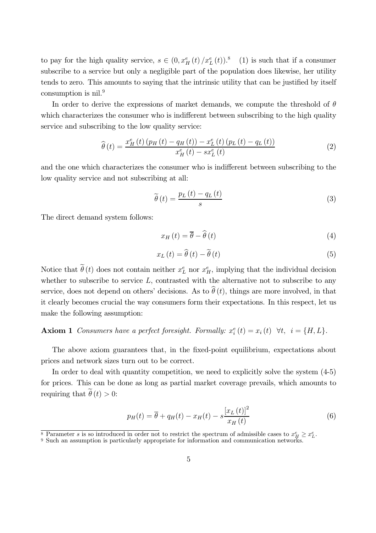to pay for the high quality service,  $s \in (0, x_H^e(t)/x_L^e(t))$ .<sup>8</sup> (1) is such that if a consumer subscribe to a service but only a negligible part of the population does likewise, her utility tends to zero. This amounts to saying that the intrinsic utility that can be justified by itself consumption is nil.<sup>9</sup>

In order to derive the expressions of market demands, we compute the threshold of  $\theta$ which characterizes the consumer who is indifferent between subscribing to the high quality service and subscribing to the low quality service:

$$
\widehat{\theta}(t) = \frac{x_H^e(t) \left( p_H\left(t\right) - q_H\left(t\right) \right) - x_L^e\left(t\right) \left( p_L\left(t\right) - q_L\left(t\right) \right)}{x_H^e\left(t\right) - sx_L^e\left(t\right)}\tag{2}
$$

and the one which characterizes the consumer who is indifferent between subscribing to the low quality service and not subscribing at all:

$$
\widetilde{\theta}\left(t\right) = \frac{p_L\left(t\right) - q_L\left(t\right)}{s} \tag{3}
$$

The direct demand system follows:

$$
x_H\left(t\right) = \overline{\theta} - \widehat{\theta}\left(t\right) \tag{4}
$$

$$
x_L(t) = \hat{\theta}(t) - \tilde{\theta}(t)
$$
\n<sup>(5)</sup>

Notice that  $\tilde{\theta}(t)$  does not contain neither  $x_L^e$  nor  $x_H^e$ , implying that the individual decision whether to subscribe to service  $L$ , contrasted with the alternative not to subscribe to any service, does not depend on others' decisions. As to  $\hat{\theta}(t)$ , things are more involved, in that it clearly becomes crucial the way consumers form their expectations. In this respect, let us make the following assumption:

## **Axiom 1** Consumers have a perfect foresight. Formally:  $x_i^e(t) = x_i(t) \quad \forall t, \quad i = \{H, L\}.$

The above axiom guarantees that, in the fixed-point equilibrium, expectations about prices and network sizes turn out to be correct.

In order to deal with quantity competition, we need to explicitly solve the system (4-5) for prices. This can be done as long as partial market coverage prevails, which amounts to requiring that  $\tilde{\theta}(t) > 0$ :

$$
p_H(t) = \overline{\theta} + q_H(t) - x_H(t) - s \frac{\left[x_L(t)\right]^2}{x_H(t)}
$$
\n
$$
\tag{6}
$$

<sup>&</sup>lt;sup>8</sup> Parameter *s* is so introduced in order not to restrict the spectrum of admissible cases to  $x_H^e \ge x_L^e$ .<br><sup>9</sup> Such an assumption is particularly appropriate for information and communication networks.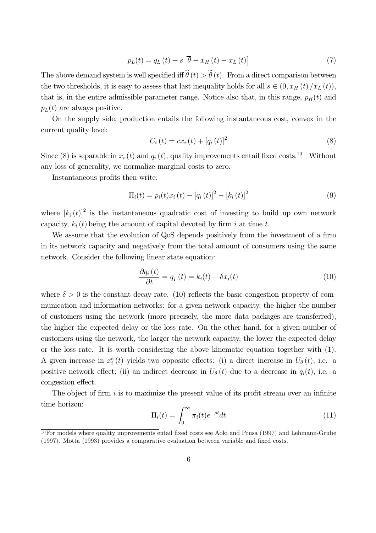$$
p_{L}(t) = q_{L}(t) + s \left[\overline{\theta} - x_{H}(t) - x_{L}(t)\right]
$$
\n<sup>(7)</sup>

The above demand system is well specified iff  $\hat{\theta}(t) > \tilde{\theta}(t)$ . From a direct comparison between the two thresholds, it is easy to assess that last inequality holds for all  $s \in (0, x_H(t)/x_L(t)),$ that is, in the entire admissible parameter range. Notice also that, in this range,  $p_H(t)$  and  $p_L(t)$  are always positive.

On the supply side, production entails the following instantaneous cost, convex in the current quality level:

$$
C_{i}(t) = cx_{i}(t) + [q_{i}(t)]^{2}
$$
\n(8)

Since (8) is separable in  $x_i(t)$  and  $q_i(t)$ , quality improvements entail fixed costs.<sup>10</sup> Without any loss of generality, we normalize marginal costs to zero.

Instantaneous profits then write:

$$
\Pi_{i}(t) = p_{i}(t)x_{i}(t) - [q_{i}(t)]^{2} - [k_{i}(t)]^{2}
$$
\n(9)

where  $[k_i(t)]^2$  is the instantaneous quadratic cost of investing to build up own network capacity,  $k_i(t)$  being the amount of capital devoted by firm i at time t.

We assume that the evolution of QoS depends positively from the investment of a firm in its network capacity and negatively from the total amount of consumers using the same network. Consider the following linear state equation:

$$
\frac{\partial q_i(t)}{\partial t} = q_i(t) = k_i(t) - \delta x_i(t)
$$
\n(10)

where  $\delta > 0$  is the constant decay rate. (10) reflects the basic congestion property of communication and information networks: for a given network capacity, the higher the number of customers using the network (more precisely, the more data packages are transferred), the higher the expected delay or the loss rate. On the other hand, for a given number of customers using the network, the larger the network capacity, the lower the expected delay or the loss rate. It is worth considering the above kinematic equation together with (1). A given increase in  $x_i^e(t)$  yields two opposite effects: (i) a direct increase in  $U_\theta(t)$ , i.e. a positive network effect; (ii) an indirect decrease in  $U_{\theta}(t)$  due to a decrease in  $q_i(t)$ , i.e. a congestion effect.

The object of firm  $i$  is to maximize the present value of its profit stream over an infinite time horizon:

$$
\Pi_i(t) = \int_0^\infty \pi_i(t)e^{-\rho t}dt
$$
\n(11)

<sup>10</sup>For models where quality improvements entail fixed costs see Aoki and Prusa (1997) and Lehmann-Grube (1997). Motta (1993) provides a comparative evaluation between variable and fixed costs.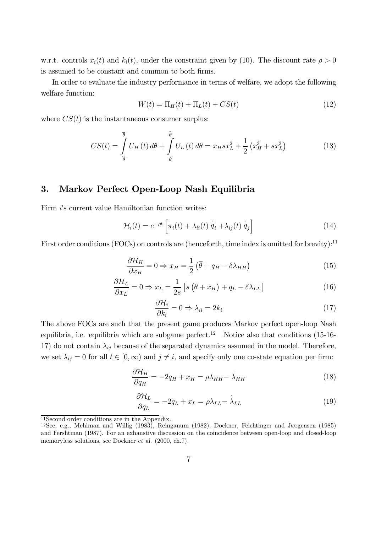w.r.t. controls  $x_i(t)$  and  $k_i(t)$ , under the constraint given by (10). The discount rate  $\rho > 0$ is assumed to be constant and common to both firms.

In order to evaluate the industry performance in terms of welfare, we adopt the following welfare function:

$$
W(t) = \Pi_H(t) + \Pi_L(t) + CS(t)
$$
\n
$$
(12)
$$

where  $CS(t)$  is the instantaneous consumer surplus:

$$
CS(t) = \int_{\hat{\theta}}^{\overline{\theta}} U_H(t) d\theta + \int_{\tilde{\theta}}^{\hat{\theta}} U_L(t) d\theta = x_H s x_L^2 + \frac{1}{2} (x_H^3 + s x_L^3)
$$
(13)

## 3. Markov Perfect Open-Loop Nash Equilibria

Firm  $i$ 's current value Hamiltonian function writes:

$$
\mathcal{H}_i(t) = e^{-\rho t} \left[ \pi_i(t) + \lambda_{ii}(t) \dot{q}_i + \lambda_{ij}(t) \dot{q}_j \right]
$$
(14)

First order conditions (FOCs) on controls are (henceforth, time index is omitted for brevity):<sup>11</sup>

$$
\frac{\partial \mathcal{H}_H}{\partial x_H} = 0 \Rightarrow x_H = \frac{1}{2} \left( \overline{\theta} + q_H - \delta \lambda_{HH} \right) \tag{15}
$$

$$
\frac{\partial \mathcal{H}_L}{\partial x_L} = 0 \Rightarrow x_L = \frac{1}{2s} \left[ s \left( \overline{\theta} + x_H \right) + q_L - \delta \lambda_{LL} \right]
$$
(16)

$$
\frac{\partial \mathcal{H}_i}{\partial k_i} = 0 \Rightarrow \lambda_{ii} = 2k_i \tag{17}
$$

The above FOCs are such that the present game produces Markov perfect open-loop Nash equilibria, i.e. equilibria which are subgame perfect.<sup>12</sup> Notice also that conditions (15-16-17) do not contain  $\lambda_{ij}$  because of the separated dynamics assumed in the model. Therefore, we set  $\lambda_{ij} = 0$  for all  $t \in [0, \infty)$  and  $j \neq i$ , and specify only one co-state equation per firm:

$$
\frac{\partial \mathcal{H}_H}{\partial q_H} = -2q_H + x_H = \rho \lambda_{HH} - \lambda_{HH}
$$
\n(18)

$$
\frac{\partial \mathcal{H}_L}{\partial q_L} = -2q_L + x_L = \rho \lambda_{LL} - \lambda_{LL}
$$
\n(19)

<sup>11</sup>Second order conditions are in the Appendix.

<sup>12</sup>See, e.g., Mehlman and Willig (1983), Reinganum (1982), Dockner, Feichtinger and JØrgensen (1985) and Fershtman (1987). For an exhaustive discussion on the coincidence between open-loop and closed-loop memoryless solutions, see Dockner et al. (2000, ch.7).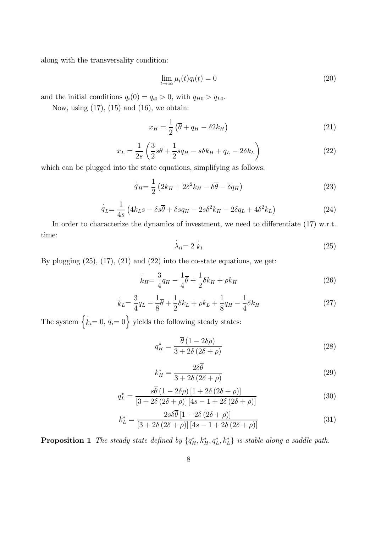along with the transversality condition:

$$
\lim_{t \to \infty} \mu_i(t) q_i(t) = 0 \tag{20}
$$

and the initial conditions  $q_i(0) = q_{i0} > 0$ , with  $q_{H0} > q_{L0}$ .

Now, using  $(17)$ ,  $(15)$  and  $(16)$ , we obtain:

$$
x_H = \frac{1}{2} \left( \overline{\theta} + q_H - \delta 2 k_H \right) \tag{21}
$$

$$
x_L = \frac{1}{2s} \left( \frac{3}{2} s \overline{\theta} + \frac{1}{2} s q_H - s \delta k_H + q_L - 2 \delta k_L \right)
$$
 (22)

which can be plugged into the state equations, simplifying as follows:

$$
q_H = \frac{1}{2} \left( 2k_H + 2\delta^2 k_H - \delta \overline{\theta} - \delta q_H \right) \tag{23}
$$

$$
\dot{q}_L = \frac{1}{4s} \left( 4k_L s - \delta s \overline{\theta} + \delta s q_H - 2s \delta^2 k_H - 2\delta q_L + 4\delta^2 k_L \right) \tag{24}
$$

In order to characterize the dynamics of investment, we need to differentiate  $(17)$  w.r.t. time:

$$
\lambda_{ii} = 2 \ k_i \tag{25}
$$

By plugging  $(25)$ ,  $(17)$ ,  $(21)$  and  $(22)$  into the co-state equations, we get:

$$
\dot{k}_H = \frac{3}{4}q_H - \frac{1}{4}\overline{\theta} + \frac{1}{2}\delta k_H + \rho k_H \tag{26}
$$

$$
\dot{k}_L = \frac{3}{4}q_L - \frac{1}{8}\bar{\theta} + \frac{1}{2}\delta k_L + \rho k_L + \frac{1}{8}q_H - \frac{1}{4}\delta k_H
$$
\n(27)

The system  $\{k_i=0, q_i=0\}$  yields the following steady states:

$$
q_H^* = \frac{\overline{\theta} (1 - 2\delta \rho)}{3 + 2\delta (2\delta + \rho)}
$$
\n(28)

$$
k_H^* = \frac{2\delta\overline{\theta}}{3 + 2\delta(2\delta + \rho)}
$$
\n(29)

$$
q_L^* = \frac{s\overline{\theta} (1 - 2\delta\rho) [1 + 2\delta (2\delta + \rho)]}{[3 + 2\delta (2\delta + \rho)] [4s - 1 + 2\delta (2\delta + \rho)]}
$$
(30)

$$
k_L^* = \frac{2s\delta\overline{\theta}\left[1 + 2\delta\left(2\delta + \rho\right)\right]}{\left[3 + 2\delta\left(2\delta + \rho\right)\right]\left[4s - 1 + 2\delta\left(2\delta + \rho\right)\right]}
$$
(31)

**Proposition 1** The steady state defined by  $\{q_H^*, k_H^*, q_L^*, k_L^*\}$  is stable along a saddle path.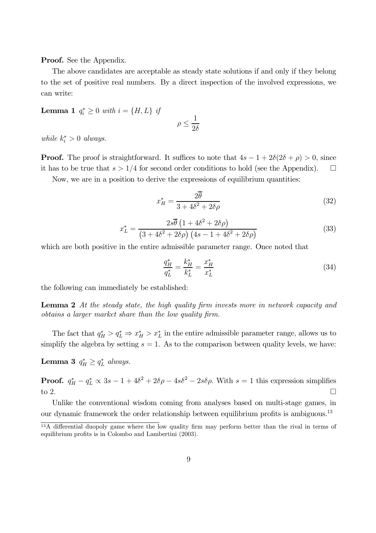Proof. See the Appendix.

The above candidates are acceptable as steady state solutions if and only if they belong to the set of positive real numbers. By a direct inspection of the involved expressions, we can write:

Lemma 1  $q_i^* \geq 0$  with  $i = \{H, L\}$  if

$$
\rho\leq \frac{1}{2\delta}
$$

while  $k_i^* > 0$  always.

**Proof.** The proof is straightforward. It suffices to note that  $4s - 1 + 2\delta(2\delta + \rho) > 0$ , since it has to be true that  $s > 1/4$  for second order conditions to hold (see the Appendix).  $\Box$ 

Now, we are in a position to derive the expressions of equilibrium quantities:

$$
x_H^* = \frac{2\overline{\theta}}{3 + 4\delta^2 + 2\delta\rho} \tag{32}
$$

$$
x_L^* = \frac{2s\overline{\theta} \left(1 + 4\delta^2 + 2\delta\rho\right)}{\left(3 + 4\delta^2 + 2\delta\rho\right) \left(4s - 1 + 4\delta^2 + 2\delta\rho\right)}
$$
(33)

which are both positive in the entire admissible parameter range. Once noted that

$$
\frac{q_H^*}{q_L^*} = \frac{k_H^*}{k_L^*} = \frac{x_H^*}{x_L^*} \tag{34}
$$

the following can immediately be established:

Lemma 2 At the steady state, the high quality firm invests more in network capacity and obtains a larger market share than the low quality firm.

The fact that  $q_H^* > q_L^* \Rightarrow x_H^* > x_L^*$  in the entire admissible parameter range, allows us to simplify the algebra by setting  $s = 1$ . As to the comparison between quality levels, we have:

Lemma 3  $q_H^* \geq q_L^*$  always.

**Proof.**  $q_H^* - q_L^* \propto 3s - 1 + 4\delta^2 + 2\delta\rho - 4s\delta^2 - 2s\delta\rho$ . With  $s = 1$  this expression simplifies to 2.

Unlike the conventional wisdom coming from analyses based on multi-stage games, in our dynamic framework the order relationship between equilibrium profits is ambiguous.<sup>13</sup>

<sup>&</sup>lt;sup>13</sup>A differential duopoly game where the low quality firm may perform better than the rival in terms of equilibrium profits is in Colombo and Lambertini (2003).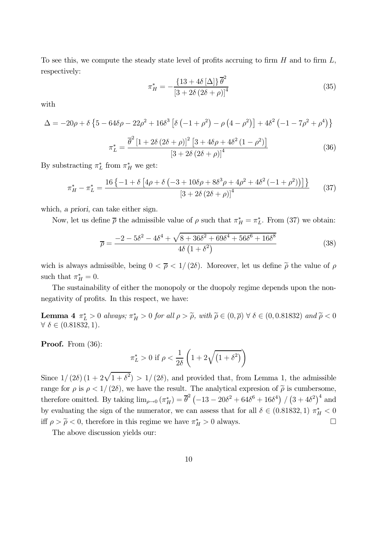To see this, we compute the steady state level of profits accruing to firm  $H$  and to firm  $L$ , respectively:

$$
\pi_H^* = -\frac{\{13 + 4\delta [\Delta]\}\overline{\theta}^2}{\left[3 + 2\delta (2\delta + \rho)\right]^4}
$$
\n(35)

with

$$
\Delta = -20\rho + \delta \left\{ 5 - 64\delta \rho - 22\rho^2 + 16\delta^3 \left[ \delta \left( -1 + \rho^2 \right) - \rho \left( 4 - \rho^2 \right) \right] + 4\delta^2 \left( -1 - 7\rho^2 + \rho^4 \right) \right\}
$$

$$
\pi_L^* = \frac{\overline{\theta}^2 \left[ 1 + 2\delta \left( 2\delta + \rho \right) \right]^2 \left[ 3 + 4\delta \rho + 4\delta^2 \left( 1 - \rho^2 \right) \right]}{\left[ 3 + 2\delta \left( 2\delta + \rho \right) \right]^4} \tag{36}
$$

By substracting  $\pi_L^*$  from  $\pi_H^*$  we get:

$$
\pi_H^* - \pi_L^* = \frac{16\left\{-1 + \delta\left[4\rho + \delta\left(-3 + 10\delta\rho + 8\delta^3\rho + 4\rho^2 + 4\delta^2\left(-1 + \rho^2\right)\right)\right]\right\}}{\left[3 + 2\delta\left(2\delta + \rho\right)\right]^4} \tag{37}
$$

which, a priori, can take either sign.

Now, let us define  $\bar{\rho}$  the admissible value of  $\rho$  such that  $\pi_H^* = \pi_L^*$ . From (37) we obtain:

$$
\overline{\rho} = \frac{-2 - 5\delta^2 - 4\delta^4 + \sqrt{8 + 36\delta^2 + 69\delta^4 + 56\delta^6 + 16\delta^8}}{4\delta \left(1 + \delta^2\right)}\tag{38}
$$

wich is always admissible, being  $0 < \bar{\rho} < 1/(2\delta)$ . Moreover, let us define  $\tilde{\rho}$  the value of  $\rho$ such that  $\pi_H^* = 0$ .

The sustainability of either the monopoly or the duopoly regime depends upon the nonnegativity of profits. In this respect, we have:

**Lemma 4**  $\pi_L^* > 0$  always;  $\pi_H^* > 0$  for all  $\rho > \tilde{\rho}$ , with  $\tilde{\rho} \in (0, \overline{\rho}) \ \forall \ \delta \in (0, 0.81832)$  and  $\tilde{\rho} < 0$  $\forall \delta \in (0.81832, 1).$ 

Proof. From  $(36)$ :

$$
\pi_L^* > 0 \text{ if } \rho < \frac{1}{2\delta} \left( 1 + 2\sqrt{\left(1 + \delta^2\right)} \right)
$$

Since  $1/(2\delta) (1 + 2\sqrt{1 + \delta^2}) > 1/(2\delta)$ , and provided that, from Lemma 1, the admissible range for  $\rho$  is  $\rho < 1/(2\delta)$ , we have the result. The analytical expression of  $\tilde{\rho}$  is cumbersome, therefore omitted. By taking  $\lim_{\rho \to 0} (\pi_H^*) = \overline{\theta}^2 (-13 - 20\delta^2 + 64\delta^6 + 16\delta^4) / (3 + 4\delta^2)^4$  and by evaluating the sign of the numerator, we can assess that for all  $\delta \in (0.81832, 1) \pi_H^* < 0$ iff  $\rho > \tilde{\rho} < 0$ , therefore in this regime we have  $\pi_H^* > 0$  always.

The above discussion yields our: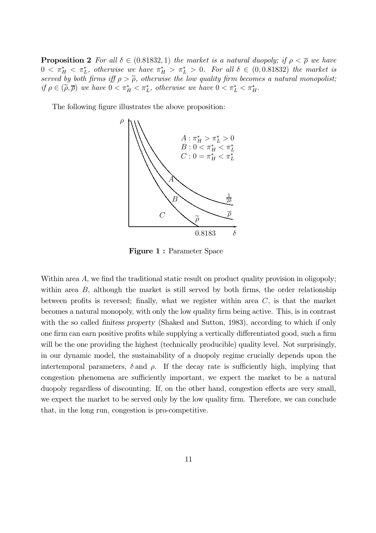**Proposition 2** For all  $\delta \in (0.81832, 1)$  the market is a natural duopoly; if  $\rho < \overline{\rho}$  we have  $0 < \pi_H^* < \pi_L^*$ , otherwise we have  $\pi_H^* > \pi_L^* > 0$ . For all  $\delta \in (0, 0.81832)$  the market is served by both firms iff  $\rho > \tilde{\rho}$ , otherwise the low quality firm becomes a natural monopolist; if  $\rho \in (\tilde{\rho}, \overline{\rho})$  we have  $0 < \pi_H^* < \pi_L^*$ , otherwise we have  $0 < \pi_L^* < \pi_H^*$ .

The following figure illustrates the above proposition:



Figure 1 : Parameter Space

Within area A, we find the traditional static result on product quality provision in oligopoly; within area  $B$ , although the market is still served by both firms, the order relationship between profits is reversed; finally, what we register within area  $C$ , is that the market becomes a natural monopoly, with only the low quality firm being active. This, is in contrast with the so called *finitess property* (Shaked and Sutton, 1983), according to which if only one firm can earn positive profits while supplying a vertically differentiated good, such a firm will be the one providing the highest (technically producible) quality level. Not surprisingly, in our dynamic model, the sustainability of a duopoly regime crucially depends upon the intertemporal parameters,  $\delta$  and  $\rho$ . If the decay rate is sufficiently high, implying that congestion phenomena are sufficiently important, we expect the market to be a natural duopoly regardless of discounting. If, on the other hand, congestion effects are very small, we expect the market to be served only by the low quality firm. Therefore, we can conclude that, in the long run, congestion is pro-competitive.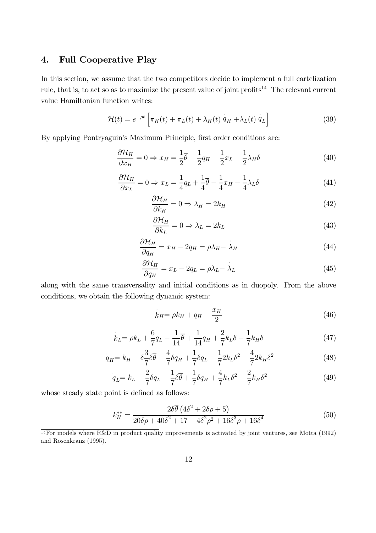## 4. Full Cooperative Play

In this section, we assume that the two competitors decide to implement a full cartelization rule, that is, to act so as to maximize the present value of joint profits<sup>14</sup> The relevant current value Hamiltonian function writes:

$$
\mathcal{H}(t) = e^{-\rho t} \left[ \pi_H(t) + \pi_L(t) + \lambda_H(t) \dot{q}_H + \lambda_L(t) \dot{q}_L \right]
$$
(39)

By applying Pontryaguin's Maximum Principle, first order conditions are:

$$
\frac{\partial \mathcal{H}_H}{\partial x_H} = 0 \Rightarrow x_H = \frac{1}{2}\overline{\theta} + \frac{1}{2}q_H - \frac{1}{2}x_L - \frac{1}{2}\lambda_H\delta \tag{40}
$$

$$
\frac{\partial \mathcal{H}_H}{\partial x_L} = 0 \Rightarrow x_L = \frac{1}{4}q_L + \frac{1}{4}\overline{\theta} - \frac{1}{4}x_H - \frac{1}{4}\lambda_L\delta \tag{41}
$$

$$
\frac{\partial \mathcal{H}_H}{\partial k_H} = 0 \Rightarrow \lambda_H = 2k_H \tag{42}
$$

$$
\frac{\partial \mathcal{H}_H}{\partial k_L} = 0 \Rightarrow \lambda_L = 2k_L \tag{43}
$$

$$
\frac{\partial \mathcal{H}_H}{\partial q_H} = x_H - 2q_H = \rho \lambda_H - \lambda_H \tag{44}
$$

$$
\frac{\partial \mathcal{H}_H}{\partial q_H} = x_L - 2q_L = \rho \lambda_L - \lambda_L \tag{45}
$$

along with the same transversality and initial conditions as in duopoly. From the above conditions, we obtain the following dynamic system:

$$
k_H = \rho k_H + q_H - \frac{x_H}{2} \tag{46}
$$

$$
\dot{k}_{L} = \rho k_{L} + \frac{6}{7}q_{L} - \frac{1}{14}\overline{\theta} + \frac{1}{14}q_{H} + \frac{2}{7}k_{L}\delta - \frac{1}{7}k_{H}\delta
$$
\n(47)

$$
q_{H} = k_{H} - \delta \frac{3}{7} \delta \overline{\theta} - \frac{4}{7} \delta q_{H} + \frac{1}{7} \delta q_{L} - \frac{1}{7} 2 k_{L} \delta^{2} + \frac{4}{7} 2 k_{H} \delta^{2}
$$
(48)

$$
q_L = k_L - \frac{2}{7}\delta q_L - \frac{1}{7}\delta \overline{\theta} + \frac{1}{7}\delta q_H + \frac{4}{7}k_L\delta^2 - \frac{2}{7}k_H\delta^2
$$
 (49)

whose steady state point is defined as follows:

$$
k_H^{**} = \frac{2\delta\overline{\theta} \left(4\delta^2 + 2\delta\rho + 5\right)}{20\delta\rho + 40\delta^2 + 17 + 4\delta^2\rho^2 + 16\delta^3\rho + 16\delta^4}
$$
(50)

 $\frac{14}{14}$  Tor models where R&D in product quality improvements is activated by joint ventures, see Motta (1992) and Rosenkranz (1995).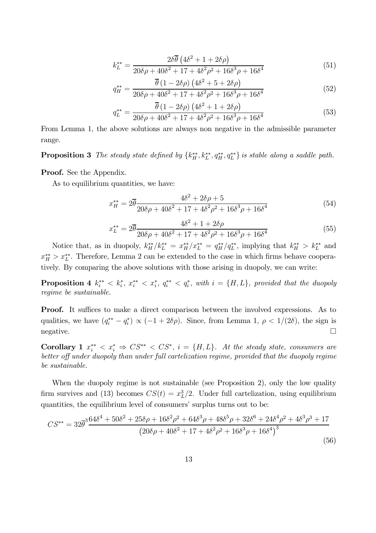$$
k_L^{**} = \frac{2\delta\overline{\theta} \left(4\delta^2 + 1 + 2\delta\rho\right)}{20\delta\rho + 40\delta^2 + 17 + 4\delta^2\rho^2 + 16\delta^3\rho + 16\delta^4}
$$
(51)

$$
q_{H}^{**} = \frac{\overline{\theta} (1 - 2\delta\rho) (4\delta^{2} + 5 + 2\delta\rho)}{20\delta\rho + 40\delta^{2} + 17 + 4\delta^{2}\rho^{2} + 16\delta^{3}\rho + 16\delta^{4}}
$$
(52)

$$
q_L^{**} = \frac{\overline{\theta} (1 - 2\delta\rho) (4\delta^2 + 1 + 2\delta\rho)}{20\delta\rho + 40\delta^2 + 17 + 4\delta^2\rho^2 + 16\delta^3\rho + 16\delta^4}
$$
(53)

From Lemma 1, the above solutions are always non negative in the admissible parameter range.

**Proposition 3** The steady state defined by  $\{k_H^{**}, k_L^{**}, q_H^{**}, q_L^{**}\}$  is stable along a saddle path.

Proof. See the Appendix.

As to equilibrium quantities, we have:

$$
x_{H}^{**} = 2\overline{\theta} \frac{4\delta^{2} + 2\delta\rho + 5}{20\delta\rho + 40\delta^{2} + 17 + 4\delta^{2}\rho^{2} + 16\delta^{3}\rho + 16\delta^{4}}
$$
(54)

$$
x_L^{**} = 2\overline{\theta} \frac{4\delta^2 + 1 + 2\delta\rho}{20\delta\rho + 40\delta^2 + 17 + 4\delta^2\rho^2 + 16\delta^3\rho + 16\delta^4}
$$
(55)

Notice that, as in duopoly,  $k_H^{**}/k_L^{**} = x_H^{**}/x_L^{**} = q_H^{**}/q_L^{**}$ , implying that  $k_H^{**} > k_L^{**}$  and  $x_{H}^{**} > x_{L}^{**}$ . Therefore, Lemma 2 can be extended to the case in which firms behave cooperatively. By comparing the above solutions with those arising in duopoly, we can write:

**Proposition 4**  $k_i^{**} < k_i^*$ ,  $x_i^{**} < x_i^*$ ,  $q_i^{**} < q_i^*$ , with  $i = \{H, L\}$ , provided that the duopoly regime be sustainable.

Proof. It suffices to make a direct comparison between the involved expressions. As to qualities, we have  $(q_i^{**} - q_i^*) \propto (-1 + 2\delta\rho)$ . Since, from Lemma 1,  $\rho < 1/(2\delta)$ , the sign is  $\Box$  negative.

Corollary 1  $x_i^{**} < x_i^* \Rightarrow CS^{**} < CS^*$ ,  $i = \{H, L\}$ . At the steady state, consumers are better off under duopoly than under full cartelization regime, provided that the duopoly regime be sustainable.

When the duopoly regime is not sustainable (see Proposition 2), only the low quality firm survives and (13) becomes  $CS(t) = x_L^3/2$ . Under full cartelization, using equilibrium quantities, the equilibrium level of consumers' surplus turns out to be:

$$
CS^{**} = 32\overline{\theta}^3 \frac{64\delta^4 + 50\delta^2 + 25\delta\rho + 16\delta^2\rho^2 + 64\delta^3\rho + 48\delta^5\rho + 32\delta^6 + 24\delta^4\rho^2 + 4\delta^3\rho^3 + 17}{(20\delta\rho + 40\delta^2 + 17 + 4\delta^2\rho^2 + 16\delta^3\rho + 16\delta^4)^3}
$$
\n(56)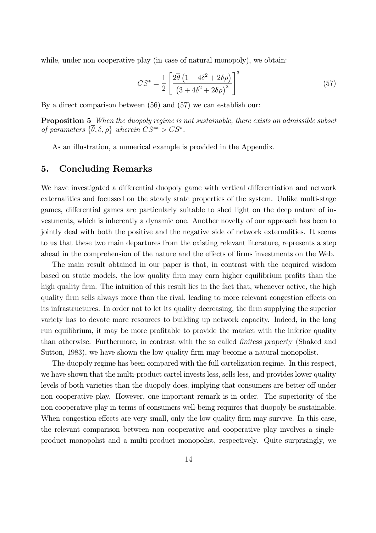while, under non cooperative play (in case of natural monopoly), we obtain:

$$
CS^* = \frac{1}{2} \left[ \frac{2\overline{\theta} \left( 1 + 4\delta^2 + 2\delta\rho \right)}{\left( 3 + 4\delta^2 + 2\delta\rho \right)^2} \right]^3 \tag{57}
$$

By a direct comparison between (56) and (57) we can establish our:

Proposition 5 When the duopoly regime is not sustainable, there exists an admissible subset of parameters  $\{\overline{\theta}, \delta, \rho\}$  wherein  $CS^{**} > CS^*$ .

As an illustration, a numerical example is provided in the Appendix.

## 5. Concluding Remarks

We have investigated a differential duopoly game with vertical differentiation and network externalities and focussed on the steady state properties of the system. Unlike multi-stage games, differential games are particularly suitable to shed light on the deep nature of investments, which is inherently a dynamic one. Another novelty of our approach has been to jointly deal with both the positive and the negative side of network externalities. It seems to us that these two main departures from the existing relevant literature, represents a step ahead in the comprehension of the nature and the effects of firms investments on the Web.

The main result obtained in our paper is that, in contrast with the acquired wisdom based on static models, the low quality firm may earn higher equilibrium profits than the high quality firm. The intuition of this result lies in the fact that, whenever active, the high quality firm sells always more than the rival, leading to more relevant congestion effects on its infrastructures. In order not to let its quality decreasing, the firm supplying the superior variety has to devote more resources to building up network capacity. Indeed, in the long run equilibrium, it may be more profitable to provide the market with the inferior quality than otherwise. Furthermore, in contrast with the so called finitess property (Shaked and Sutton, 1983), we have shown the low quality firm may become a natural monopolist.

The duopoly regime has been compared with the full cartelization regime. In this respect, we have shown that the multi-product cartel invests less, sells less, and provides lower quality levels of both varieties than the duopoly does, implying that consumers are better off under non cooperative play. However, one important remark is in order. The superiority of the non cooperative play in terms of consumers well-being requires that duopoly be sustainable. When congestion effects are very small, only the low quality firm may survive. In this case, the relevant comparison between non cooperative and cooperative play involves a singleproduct monopolist and a multi-product monopolist, respectively. Quite surprisingly, we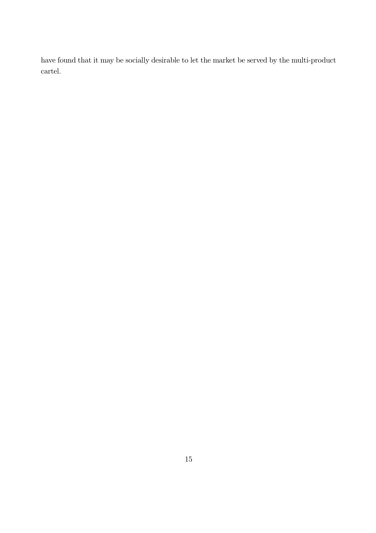have found that it may be socially desirable to let the market be served by the multi-product cartel.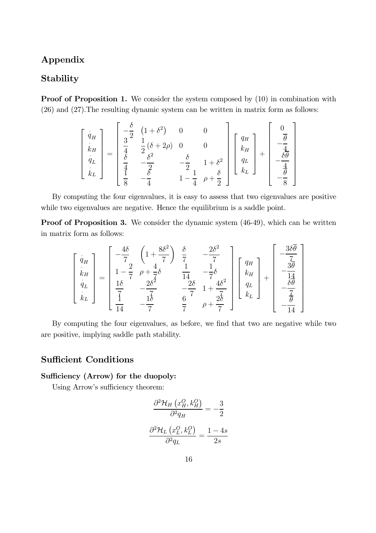## Appendix

## Stability

Proof of Proposition 1. We consider the system composed by  $(10)$  in combination with (26) and (27).The resulting dynamic system can be written in matrix form as follows:

$$
\begin{bmatrix}\n\dot{q}_H \\
\dot{k}_H \\
\dot{q}_L \\
\dot{k}_L\n\end{bmatrix} = \begin{bmatrix}\n-\frac{\delta}{2} & (1+\delta^2) & 0 & 0 \\
\frac{3}{4} & \frac{1}{2}(\delta + 2\rho) & 0 & 0 \\
\frac{\delta}{4} & -\frac{\delta^2}{2} & -\frac{\delta}{2} & 1+\delta^2 \\
\frac{1}{4} & -\frac{\delta}{4} & 1-\frac{1}{4} & \rho + \frac{\delta}{2}\n\end{bmatrix}\n\begin{bmatrix}\nq_H \\
k_H \\
q_L\n\end{bmatrix} + \begin{bmatrix}\n0 \\
-\frac{\overline{\theta}}{4} \\
-\frac{\delta\overline{\theta}}{4} \\
-\frac{\delta}{8}\n\end{bmatrix}
$$

By computing the four eigenvalues, it is easy to assess that two eigenvalues are positive while two eigenvalues are negative. Hence the equilibrium is a saddle point.

Proof of Proposition 3. We consider the dynamic system  $(46-49)$ , which can be written in matrix form as follows:

$$
\begin{bmatrix}\n\dot{q}_H \\
\dot{k}_H \\
\dot{q}_L \\
\dot{k}_L\n\end{bmatrix} = \begin{bmatrix}\n-\frac{4\delta}{7} & \left(1 + \frac{8\delta^2}{7}\right) & \frac{\delta}{7} & -\frac{2\delta^2}{7} \\
1 - \frac{2}{7} & \rho + \frac{4}{7}\delta & \frac{1}{14} & -\frac{1}{7}\delta \\
\frac{1\delta}{7} & -\frac{2\delta^2}{7} & -\frac{2\delta}{7} & 1 + \frac{4\delta^2}{7} \\
\frac{1}{14} & -\frac{1\delta}{7} & \frac{6}{7} & \rho + \frac{2\delta}{7}\n\end{bmatrix}\n\begin{bmatrix}\nq_H \\
k_H \\
q_L\n\end{bmatrix} + \begin{bmatrix}\n-\frac{3\delta\overline{\theta}}{7} \\
-\frac{3\theta}{14} \\
-\frac{\delta\theta}{7} \\
-\frac{\overline{\theta}}{14}\n\end{bmatrix}
$$

By computing the four eigenvalues, as before, we find that two are negative while two are positive, implying saddle path stability.

## Sufficient Conditions

#### Sufficiency (Arrow) for the duopoly:

Using Arrow's sufficiency theorem:

$$
\frac{\partial^2 \mathcal{H}_H (x_H^O, k_H^O)}{\partial^2 q_H} = -\frac{3}{2}
$$

$$
\frac{\partial^2 \mathcal{H}_L (x_L^O, k_L^O)}{\partial^2 q_L} = \frac{1 - 4s}{2s}
$$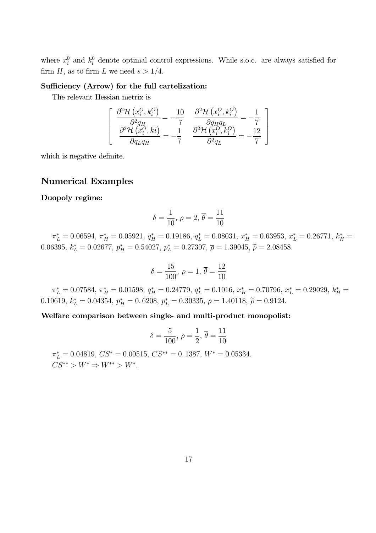where  $x_i^0$  and  $k_i^0$  denote optimal control expressions. While s.o.c. are always satisfied for firm H, as to firm L we need  $s > 1/4$ .

#### Sufficiency (Arrow) for the full cartelization:

The relevant Hessian metrix is

$$
\begin{bmatrix}\n\frac{\partial^2 \mathcal{H}(x_i^O, k_i^O)}{\partial^2 q_H} = -\frac{10}{7} & \frac{\partial^2 \mathcal{H}(x_i^O, k_i^O)}{\partial q_H q_L} = -\frac{1}{7} \\
\frac{\partial^2 \mathcal{H}(x_i^O, ki)}{\partial q_L q_H} = -\frac{1}{7} & \frac{\partial^2 \mathcal{H}(x_i^O, k_i^O)}{\partial^2 q_L} = -\frac{12}{7}\n\end{bmatrix}
$$

which is negative definite.

## Numerical Examples

#### Duopoly regime:

$$
\delta = \frac{1}{10}, \ \rho = 2, \ \overline{\theta} = \frac{11}{10}
$$

 $\pi_L^* = 0.06594, \ \pi_H^* = 0.05921, \ q_H^* = 0.19186, \ q_L^* = 0.08031, \ x_H^* = 0.63953, \ x_L^* = 0.26771, \ k_H^* = 0.06594$ 0.06395,  $k_L^* = 0.02677$ ,  $p_H^* = 0.54027$ ,  $p_L^* = 0.27307$ ,  $\overline{\rho} = 1.39045$ ,  $\widetilde{\rho} = 2.08458$ .

$$
\delta = \frac{15}{100}, \ \rho = 1, \ \overline{\theta} = \frac{12}{10}
$$

 $\pi_L^* = 0.07584, \ \pi_H^* = 0.01598, \ q_H^* = 0.24779, \ q_L^* = 0.1016, \ x_H^* = 0.70796, \ x_L^* = 0.29029, \ k_H^* = 0.07584$ 0.10619,  $k_L^* = 0.04354$ ,  $p_H^* = 0.6208$ ,  $p_L^* = 0.30335$ ,  $\overline{\rho} = 1.40118$ ,  $\widetilde{\rho} = 0.9124$ .

Welfare comparison between single- and multi-product monopolist:

$$
\delta = \frac{5}{100}, \ \rho = \frac{1}{2}, \ \overline{\theta} = \frac{11}{10}
$$

 $\pi_L^* = 0.04819, \, CS^* = 0.00515, \, CS^{**} = 0.1387, \, W^* = 0.05334.$  $CS^{**} > W^* \Rightarrow W^{**} > W^*$ .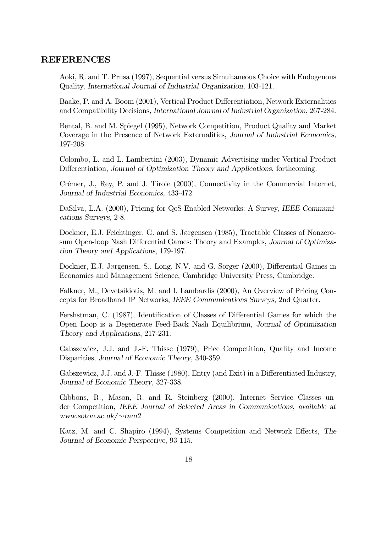## REFERENCES

Aoki, R. and T. Prusa (1997), Sequential versus Simultaneous Choice with Endogenous Quality, International Journal of Industrial Organization, 103-121.

Baake, P. and A. Boom (2001), Vertical Product Differentiation, Network Externalities and Compatibility Decisions, International Journal of Industrial Organization, 267-284.

Bental, B. and M. Spiegel (1995), Network Competition, Product Quality and Market Coverage in the Presence of Network Externalities, Journal of Industrial Economics, 197-208.

Colombo, L. and L. Lambertini (2003), Dynamic Advertising under Vertical Product Differentiation, Journal of Optimization Theory and Applications, forthcoming.

Crémer, J., Rey, P. and J. Tirole (2000), Connectivity in the Commercial Internet, Journal of Industrial Economics, 433-472.

DaSilva, L.A. (2000), Pricing for QoS-Enabled Networks: A Survey, IEEE Communications Surveys, 2-8.

Dockner, E.J, Feichtinger, G. and S. Jørgensen (1985), Tractable Classes of Nonzerosum Open-loop Nash Differential Games: Theory and Examples, Journal of Optimization Theory and Applications, 179-197.

Dockner, E.J, JØrgensen, S., Long, N.V. and G. Sorger (2000), Differential Games in Economics and Management Science, Cambridge University Press, Cambridge.

Falkner, M., Devetsikiotis, M. and I. Lambardis (2000), An Overview of Pricing Concepts for Broadband IP Networks, IEEE Communications Surveys, 2nd Quarter.

Fershstman, C. (1987), Identification of Classes of Differential Games for which the Open Loop is a Degenerate Feed-Back Nash Equilibrium, Journal of Optimization Theory and Applications, 217-231.

Gabszewicz, J.J. and J.-F. Thisse (1979), Price Competition, Quality and Income Disparities, Journal of Economic Theory, 340-359.

Gabszewicz, J.J. and J.-F. Thisse (1980), Entry (and Exit) in a Differentiated Industry, Journal of Economic Theory, 327-338.

Gibbons, R., Mason, R. and R. Steinberg (2000), Internet Service Classes under Competition, IEEE Journal of Selected Areas in Communications, available at www.soton.ac.uk/∼ram2

Katz, M. and C. Shapiro (1994), Systems Competition and Network Effects, The Journal of Economic Perspective, 93-115.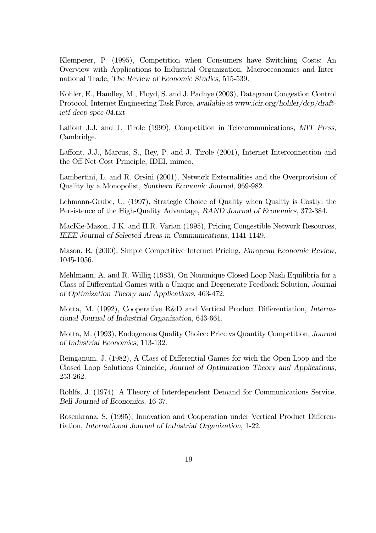Klemperer, P. (1995), Competition when Consumers have Switching Costs: An Overview with Applications to Industrial Organization, Macroeconomics and International Trade, The Review of Economic Studies, 515-539.

Kohler, E., Handley, M., Floyd, S. and J. Padhye (2003), Datagram Congestion Control Protocol, Internet Engineering Task Force, available at www.icir.org/hohler/dcp/draftietf-dccp-spec-04.txt

Laffont J.J. and J. Tirole (1999), Competition in Telecommunications, MIT Press, Cambridge.

Laffont, J.J., Marcus, S., Rey, P. and J. Tirole (2001), Internet Interconnection and the Off-Net-Cost Principle, IDEI, mimeo.

Lambertini, L. and R. Orsini (2001), Network Externalities and the Overprovision of Quality by a Monopolist, Southern Economic Journal, 969-982.

Lehmann-Grube, U. (1997), Strategic Choice of Quality when Quality is Costly: the Persistence of the High-Quality Advantage, RAND Journal of Economics, 372-384.

MacKie-Mason, J.K. and H.R. Varian (1995), Pricing Congestible Network Resources, IEEE Journal of Selected Areas in Communications, 1141-1149.

Mason, R. (2000), Simple Competitive Internet Pricing, European Economic Review, 1045-1056.

Mehlmann, A. and R. Willig (1983), On Nonunique Closed Loop Nash Equilibria for a Class of Differential Games with a Unique and Degenerate Feedback Solution, Journal of Optimization Theory and Applications, 463-472.

Motta, M. (1992), Cooperative R&D and Vertical Product Differentiation, International Journal of Industrial Organization, 643-661.

Motta, M. (1993), Endogenous Quality Choice: Price vs Quantity Competition, Journal of Industrial Economics, 113-132.

Reinganum, J. (1982), A Class of Differential Games for wich the Open Loop and the Closed Loop Solutions Coincide, Journal of Optimization Theory and Applications, 253-262.

Rohlfs, J. (1974), A Theory of Interdependent Demand for Communications Service, Bell Journal of Economics, 16-37.

Rosenkranz, S. (1995), Innovation and Cooperation under Vertical Product Differentiation, International Journal of Industrial Organization, 1-22.